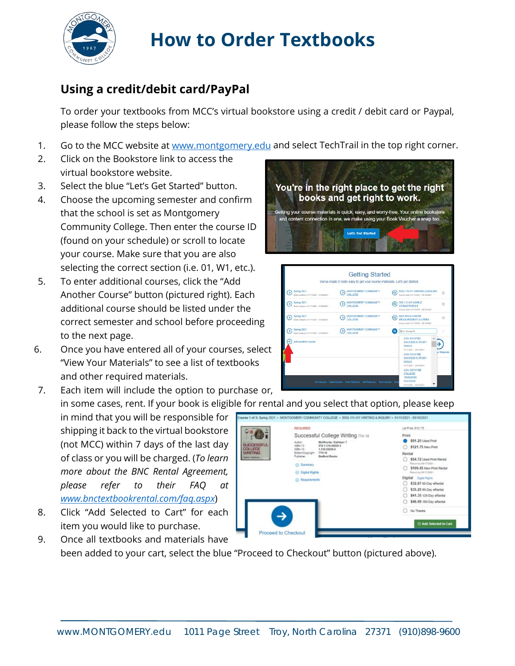

## **How to Order Textbooks**

## **Using a credit/debit card/PayPal**

 To order your textbooks from MCC's virtual bookstore using a credit / debit card or Paypal, please follow the steps below:

- 1. Go to the MCC website at<www.montgomery.edu> and select TechTrail in the top right corner.
- 2. Click on the Bookstore link to access the virtual bookstore website.
- 3. Select the blue "Let's Get Started" button.
- Community College. Then enter the course ID (found on your schedule) or scroll to locate 4. Choose the upcoming semester and confirm that the school is set as Montgomery your course. Make sure that you are also
- selecting the correct section (i.e. 01, W1, etc.). 5. To enter additional courses, click the "Add Another Course" button (pictured right). Each additional course should be listed under the correct semester and school before proceeding to the next page.
- 6. Once you have entered all of your courses, select "View Your Materials" to see a list of textbooks and other required materials.

7. Each item will include the option to purchase or, in some cases, rent. If your book is eligible for rental and you select that option, please keep

 shipping it back to the virtual bookstore (not MCC) within 7 days of the last day of class or you will be charged. (*To learn*  in mind that you will be responsible for *more about the BNC Rental Agreement, please refer to their FAQ at <www.bnctextbookrental.com/faq.aspx>*)

8. Click "Add Selected to Cart" for each item you would like to purchase.





| Spring 2021<br>5                                             | MONTGOMERY COMMUNITY                   | ENG-111-W1 WRITING & INQUIRY<br>Q)<br>$\odot$                                                                                                                                                     |
|--------------------------------------------------------------|----------------------------------------|---------------------------------------------------------------------------------------------------------------------------------------------------------------------------------------------------|
| Starts between: 81/11/2021 - 61/29/2021                      | COLLEGE.                               | Course start 01/11/2021 - 05/10/2021                                                                                                                                                              |
| Spring 2021<br>5<br>Storts between: 01/11/2021 - 01/29/2021  | MONTGOMERY COMMUNITY<br>COLLEGE.       | HIS-112-W1 WORLD<br>$\circledcirc$<br>$\overline{(\overline{n})}$<br>CIVILIZATIONS II<br>Course start: 01/11/2021 - 05/10/2021                                                                    |
| Spring 2021<br>σ<br>Storts textween: 01/11/2021 - 01/29/2021 | MONTGOMERY COMMUNITY<br><b>COLLEGE</b> | <b>MAT-110-01X MATH</b><br>$\mathbf{a}$<br>$\mathcal{L}$<br>MEASUREMENT & LITERA<br>Course start 01/11/2021 - 05/10/2021                                                                          |
| Spring 2021<br>Б<br>Storts between 01/11/2021 - 01/29/2021   | MONTGOMERY COMMUNITY<br>COLLEGE        | <b>Vour Course ID</b><br>ø                                                                                                                                                                        |
| <b>Add Another Course</b>                                    |                                        | <b>ACA-115-W18A</b><br><b>SUCCESS &amp; STUDY</b><br><b>SKILLS</b><br>01/11/2021 - 05/10/2021<br>ar Materials<br>ACA-115-W188<br><b>SUCCESS &amp; STUDY</b><br>SKILLS.<br>01/11/2021 - 05/10/2021 |